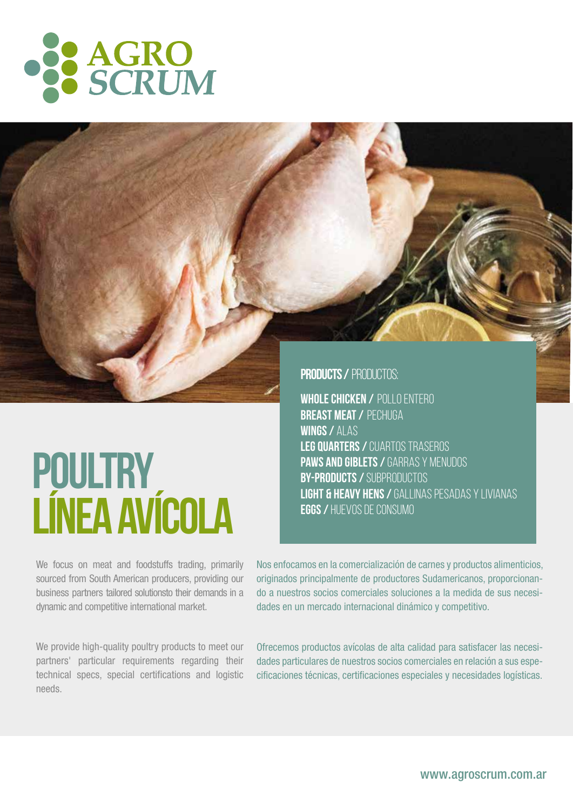

# **POULTRY LÍNEA AVÍCOLA**

**PRODUCTS / PRODUCTOS:** 

**Whole Chicken /** Pollo entero **Breast Meat /** Pechuga **Wings /** Alas **Leg Quarters /** Cuartos traseros **Paws and Giblets /** Garras y Menudos **By-products /** Subproductos **Light & Heavy Hens /** Gallinas Pesadas y Livianas **Eggs /** Huevos de consumo

We focus on meat and foodstuffs trading, primarily sourced from South American producers, providing our business partners tailored solutionsto their demands in a dynamic and competitive international market.

We provide high-quality poultry products to meet our partners' particular requirements regarding their technical specs, special certifications and logistic needs.

Nos enfocamos en la comercialización de carnes y productos alimenticios, originados principalmente de productores Sudamericanos, proporcionando a nuestros socios comerciales soluciones a la medida de sus necesidades en un mercado internacional dinámico y competitivo.

Ofrecemos productos avícolas de alta calidad para satisfacer las necesidades particulares de nuestros socios comerciales en relación a sus especificaciones técnicas, certificaciones especiales y necesidades logísticas.